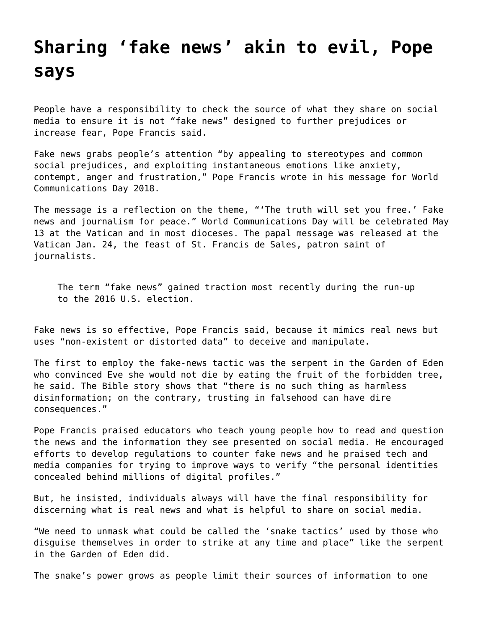## **[Sharing 'fake news' akin to evil, Pope](https://grandinmedia.ca/sharing-fake-news-akin-evil-pope-says/) [says](https://grandinmedia.ca/sharing-fake-news-akin-evil-pope-says/)**

People have a responsibility to check the source of what they share on social media to ensure it is not "fake news" designed to further prejudices or increase fear, Pope Francis said.

Fake news grabs people's attention "by appealing to stereotypes and common social prejudices, and exploiting instantaneous emotions like anxiety, contempt, anger and frustration," Pope Francis wrote in his message for World Communications Day 2018.

The message is a reflection on the theme, "'The truth will set you free.' Fake news and journalism for peace." World Communications Day will be celebrated May 13 at the Vatican and in most dioceses. The papal message was released at the Vatican Jan. 24, the feast of St. Francis de Sales, patron saint of journalists.

The term "fake news" gained traction most recently during the run-up to the 2016 U.S. election.

Fake news is so effective, Pope Francis said, because it mimics real news but uses "non-existent or distorted data" to deceive and manipulate.

The first to employ the fake-news tactic was the serpent in the Garden of Eden who convinced Eve she would not die by eating the fruit of the forbidden tree, he said. The Bible story shows that "there is no such thing as harmless disinformation; on the contrary, trusting in falsehood can have dire consequences."

Pope Francis praised educators who teach young people how to read and question the news and the information they see presented on social media. He encouraged efforts to develop regulations to counter fake news and he praised tech and media companies for trying to improve ways to verify "the personal identities concealed behind millions of digital profiles."

But, he insisted, individuals always will have the final responsibility for discerning what is real news and what is helpful to share on social media.

"We need to unmask what could be called the 'snake tactics' used by those who disguise themselves in order to strike at any time and place" like the serpent in the Garden of Eden did.

The snake's power grows as people limit their sources of information to one